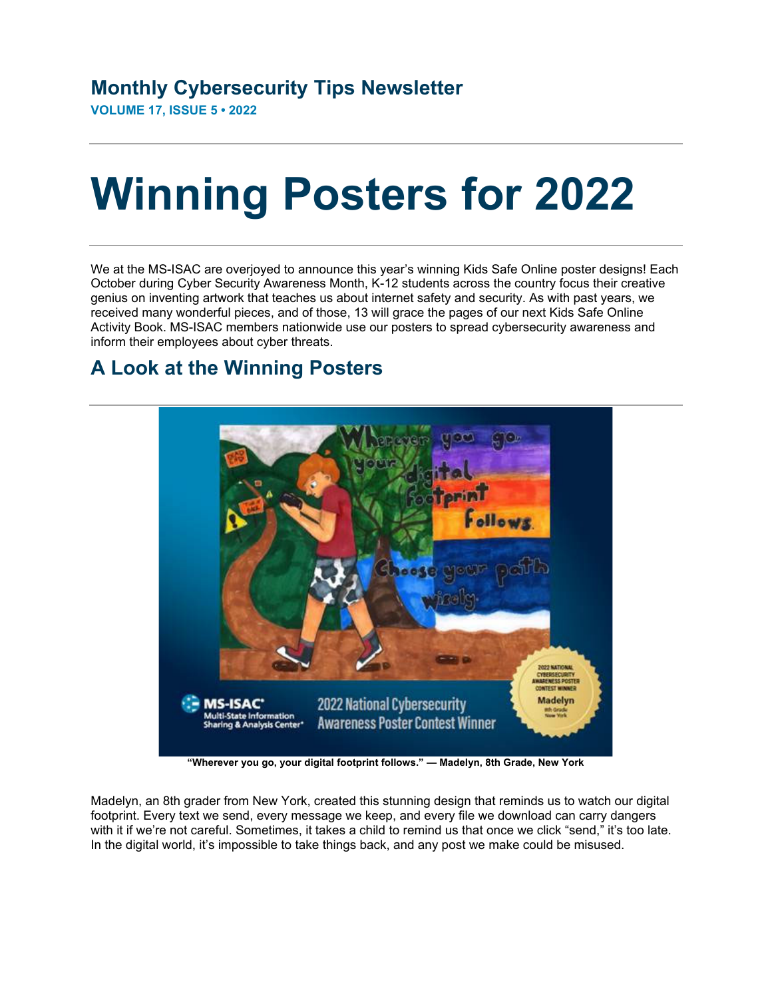**VOLUME 17, ISSUE 5 • 2022** 

## **Winning Posters for 2022**

We at the MS-ISAC are overjoyed to announce this year's winning Kids Safe Online poster designs! Each October during Cyber Security Awareness Month, K-12 students across the country focus their creative genius on inventing artwork that teaches us about internet safety and security. As with past years, we received many wonderful pieces, and of those, 13 will grace the pages of our next Kids Safe Online Activity Book. MS-ISAC members nationwide use our posters to spread cybersecurity awareness and inform their employees about cyber threats.

## **A Look at the Winning Posters**



**"Wherever you go, your digital footprint follows." — Madelyn, 8th Grade, New York** 

Madelyn, an 8th grader from New York, created this stunning design that reminds us to watch our digital footprint. Every text we send, every message we keep, and every file we download can carry dangers with it if we're not careful. Sometimes, it takes a child to remind us that once we click "send," it's too late. In the digital world, it's impossible to take things back, and any post we make could be misused.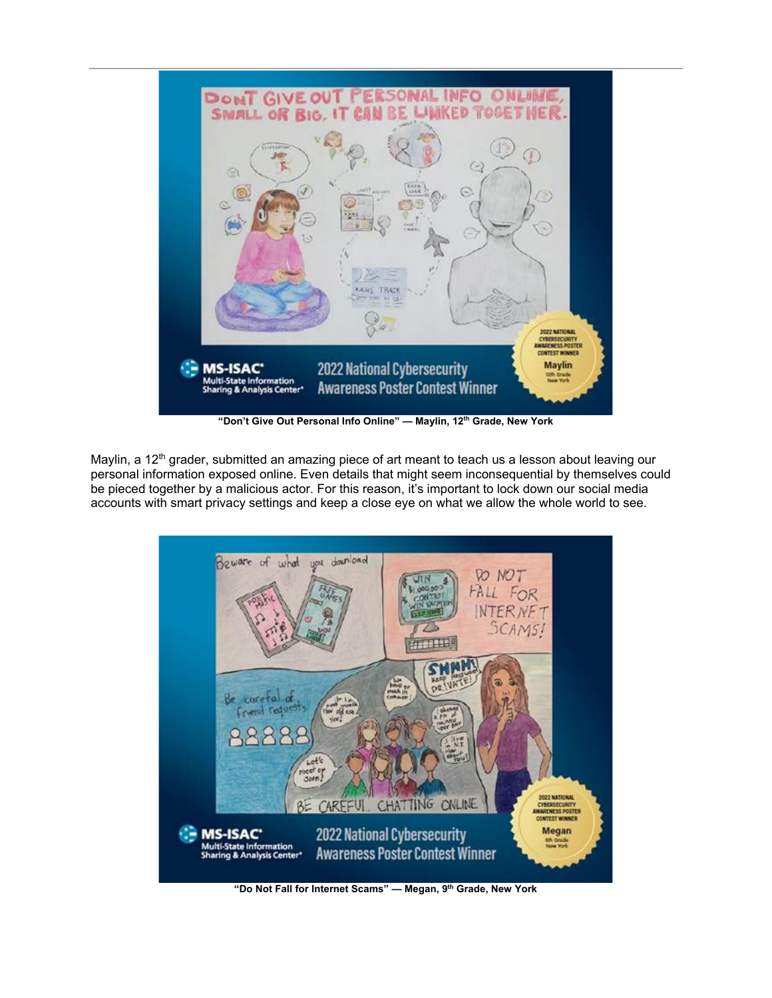

"Don't Give Out Personal Info Online" — Maylin, 12<sup>th</sup> Grade, New York

Maylin, a 12<sup>th</sup> grader, submitted an amazing piece of art meant to teach us a lesson about leaving our personal information exposed online. Even details that might seem inconsequential by themselves could be pieced together by a malicious actor. For this reason, it's important to lock down our social media accounts with smart privacy settings and keep a close eye on what we allow the whole world to see.



**"Do Not Fall for Internet Scams" — Megan, 9th Grade, New York**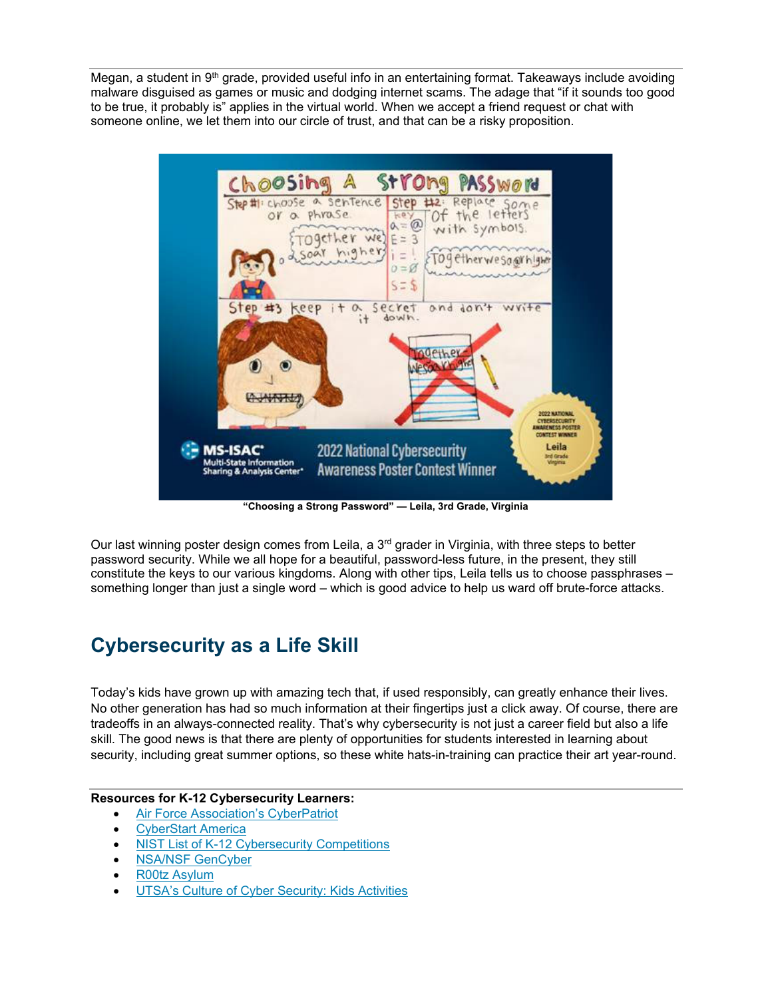Megan, a student in  $9<sup>th</sup>$  grade, provided useful info in an entertaining format. Takeaways include avoiding malware disguised as games or music and dodging internet scams. The adage that "if it sounds too good to be true, it probably is" applies in the virtual world. When we accept a friend request or chat with someone online, we let them into our circle of trust, and that can be a risky proposition.



**"Choosing a Strong Password" — Leila, 3rd Grade, Virginia** 

Our last winning poster design comes from Leila, a  $3<sup>rd</sup>$  grader in Virginia, with three steps to better password security. While we all hope for a beautiful, password-less future, in the present, they still constitute the keys to our various kingdoms. Along with other tips, Leila tells us to choose passphrases – something longer than just a single word – which is good advice to help us ward off brute-force attacks.

## **Cybersecurity as a Life Skill**

Today's kids have grown up with amazing tech that, if used responsibly, can greatly enhance their lives. No other generation has had so much information at their fingertips just a click away. Of course, there are tradeoffs in an always-connected reality. That's why cybersecurity is not just a career field but also a life skill. The good news is that there are plenty of opportunities for students interested in learning about security, including great summer options, so these white hats-in-training can practice their art year-round.

## **Resources for K-12 Cybersecurity Learners:**

- Air Force Association's CyberPatriot
- **CyberStart America**
- NIST List of K-12 Cybersecurity Competitions
- NSA/NSF GenCyber
- R00tz Asylum
- UTSA's Culture of Cyber Security: Kids Activities